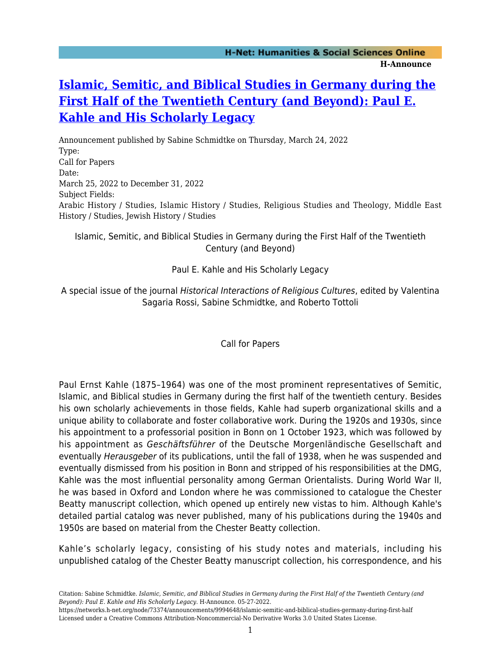## **[Islamic, Semitic, and Biblical Studies in Germany during the](https://networks.h-net.org/node/73374/announcements/9994648/islamic-semitic-and-biblical-studies-germany-during-first-half) [First Half of the Twentieth Century \(and Beyond\): Paul E.](https://networks.h-net.org/node/73374/announcements/9994648/islamic-semitic-and-biblical-studies-germany-during-first-half) [Kahle and His Scholarly Legacy](https://networks.h-net.org/node/73374/announcements/9994648/islamic-semitic-and-biblical-studies-germany-during-first-half)**

Announcement published by Sabine Schmidtke on Thursday, March 24, 2022 Type: Call for Papers Date: March 25, 2022 to December 31, 2022 Subject Fields: Arabic History / Studies, Islamic History / Studies, Religious Studies and Theology, Middle East History / Studies, Jewish History / Studies

## Islamic, Semitic, and Biblical Studies in Germany during the First Half of the Twentieth Century (and Beyond)

## Paul E. Kahle and His Scholarly Legacy

A special issue of the journal Historical Interactions of Religious Cultures, edited by Valentina Sagaria Rossi, Sabine Schmidtke, and Roberto Tottoli

Call for Papers

Paul Ernst Kahle (1875–1964) was one of the most prominent representatives of Semitic, Islamic, and Biblical studies in Germany during the first half of the twentieth century. Besides his own scholarly achievements in those fields, Kahle had superb organizational skills and a unique ability to collaborate and foster collaborative work. During the 1920s and 1930s, since his appointment to a professorial position in Bonn on 1 October 1923, which was followed by his appointment as Geschäftsführer of the Deutsche Morgenländische Gesellschaft and eventually Herausgeber of its publications, until the fall of 1938, when he was suspended and eventually dismissed from his position in Bonn and stripped of his responsibilities at the DMG, Kahle was the most influential personality among German Orientalists. During World War II, he was based in Oxford and London where he was commissioned to catalogue the Chester Beatty manuscript collection, which opened up entirely new vistas to him. Although Kahle's detailed partial catalog was never published, many of his publications during the 1940s and 1950s are based on material from the Chester Beatty collection.

Kahle's scholarly legacy, consisting of his study notes and materials, including his unpublished catalog of the Chester Beatty manuscript collection, his correspondence, and his

Citation: Sabine Schmidtke. *Islamic, Semitic, and Biblical Studies in Germany during the First Half of the Twentieth Century (and Beyond): Paul E. Kahle and His Scholarly Legacy*. H-Announce. 05-27-2022.

https://networks.h-net.org/node/73374/announcements/9994648/islamic-semitic-and-biblical-studies-germany-during-first-half Licensed under a Creative Commons Attribution-Noncommercial-No Derivative Works 3.0 United States License.